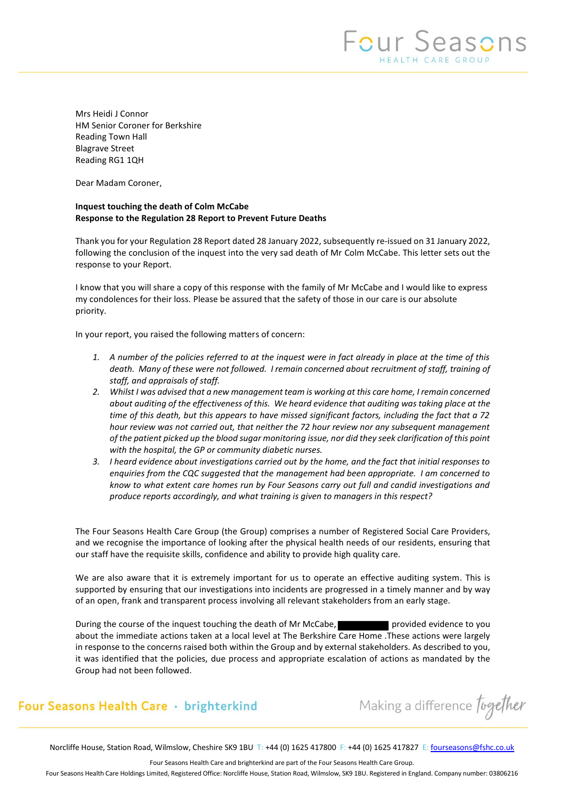Mrs Heidi J Connor HM Senior Coroner for Berkshire Reading Town Hall Blagrave Street Reading RG1 1QH

Dear Madam Coroner,

# **Inquest touching the death of Colm McCabe Response to the Regulation 28 Report to Prevent Future Deaths**

Thank you for your Regulation 28 Report dated 28 January 2022, subsequently re-issued on 31 January 2022, following the conclusion of the inquest into the very sad death of Mr Colm McCabe. This letter sets out the response to your Report.

I know that you will share a copy of this response with the family of Mr McCabe and I would like to express my condolences for their loss. Please be assured that the safety of those in our care is our absolute priority.

In your report, you raised the following matters of concern:

- *1. A number of the policies referred to at the inquest were in fact already in place at the time of this death. Many of these were not followed. I remain concerned about recruitment of staff, training of staff, and appraisals of staff.*
- *2. Whilst I was advised that a new management team is working at this care home, I remain concerned about auditing of the effectiveness of this. We heard evidence that auditing was taking place at the time of this death, but this appears to have missed significant factors, including the fact that a 72 hour review was not carried out, that neither the 72 hour review nor any subsequent management of the patient picked up the blood sugar monitoring issue, nor did they seek clarification of this point with the hospital, the GP or community diabetic nurses.*
- *3. I heard evidence about investigations carried out by the home, and the fact that initial responses to enquiries from the CQC suggested that the management had been appropriate. I am concerned to know to what extent care homes run by Four Seasons carry out full and candid investigations and produce reports accordingly, and what training is given to managers in this respect?*

The Four Seasons Health Care Group (the Group) comprises a number of Registered Social Care Providers, and we recognise the importance of looking after the physical health needs of our residents, ensuring that our staff have the requisite skills, confidence and ability to provide high quality care.

We are also aware that it is extremely important for us to operate an effective auditing system. This is supported by ensuring that our investigations into incidents are progressed in a timely manner and by way of an open, frank and transparent process involving all relevant stakeholders from an early stage.

During the course of the inquest touching the death of Mr McCabe, provided evidence to you about the immediate actions taken at a local level at The Berkshire Care Home .These actions were largely in response to the concerns raised both within the Group and by external stakeholders. As described to you, it was identified that the policies, due process and appropriate escalation of actions as mandated by the Group had not been followed.

# Four Seasons Health Care · brighterkind

Making a difference Together

Norcliffe House, Station Road, Wilmslow, Cheshire SK9 1BU T: +44 (0) 1625 417800 F: +44 (0) 1625 417827 E[: fourseasons@fshc.co.uk](mailto:fourseasons@fshc.co.uk)

Four Seasons Health Care and brighterkind are part of the Four Seasons Health Care Group.

Four Seasons Health Care Holdings Limited, Registered Office: Norcliffe House, Station Road, Wilmslow, SK9 1BU. Registered in England. Company number: 03806216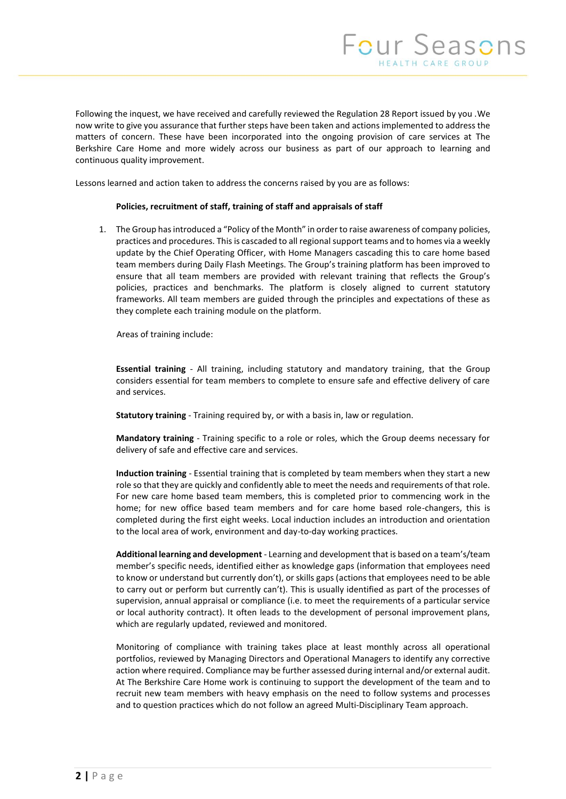Following the inquest, we have received and carefully reviewed the Regulation 28 Report issued by you .We now write to give you assurance that further steps have been taken and actions implemented to address the matters of concern. These have been incorporated into the ongoing provision of care services at The Berkshire Care Home and more widely across our business as part of our approach to learning and continuous quality improvement.

Lessons learned and action taken to address the concerns raised by you are as follows:

### **Policies, recruitment of staff, training of staff and appraisals of staff**

1. The Group has introduced a "Policy of the Month" in order to raise awareness of company policies, practices and procedures. Thisis cascaded to all regional support teams and to homes via a weekly update by the Chief Operating Officer, with Home Managers cascading this to care home based team members during Daily Flash Meetings. The Group's training platform has been improved to ensure that all team members are provided with relevant training that reflects the Group's policies, practices and benchmarks. The platform is closely aligned to current statutory frameworks. All team members are guided through the principles and expectations of these as they complete each training module on the platform.

Areas of training include:

**Essential training** - All training, including statutory and mandatory training, that the Group considers essential for team members to complete to ensure safe and effective delivery of care and services.

**Statutory training** - Training required by, or with a basis in, law or regulation.

**Mandatory training** - Training specific to a role or roles, which the Group deems necessary for delivery of safe and effective care and services.

**Induction training** - Essential training that is completed by team members when they start a new role so that they are quickly and confidently able to meet the needs and requirements of that role. For new care home based team members, this is completed prior to commencing work in the home; for new office based team members and for care home based role-changers, this is completed during the first eight weeks. Local induction includes an introduction and orientation to the local area of work, environment and day-to-day working practices.

**Additional learning and development** - Learning and development that is based on a team's/team member's specific needs, identified either as knowledge gaps (information that employees need to know or understand but currently don't), or skills gaps (actions that employees need to be able to carry out or perform but currently can't). This is usually identified as part of the processes of supervision, annual appraisal or compliance (i.e. to meet the requirements of a particular service or local authority contract). It often leads to the development of personal improvement plans, which are regularly updated, reviewed and monitored.

Monitoring of compliance with training takes place at least monthly across all operational portfolios, reviewed by Managing Directors and Operational Managers to identify any corrective action where required. Compliance may be further assessed during internal and/or external audit. At The Berkshire Care Home work is continuing to support the development of the team and to recruit new team members with heavy emphasis on the need to follow systems and processes and to question practices which do not follow an agreed Multi-Disciplinary Team approach.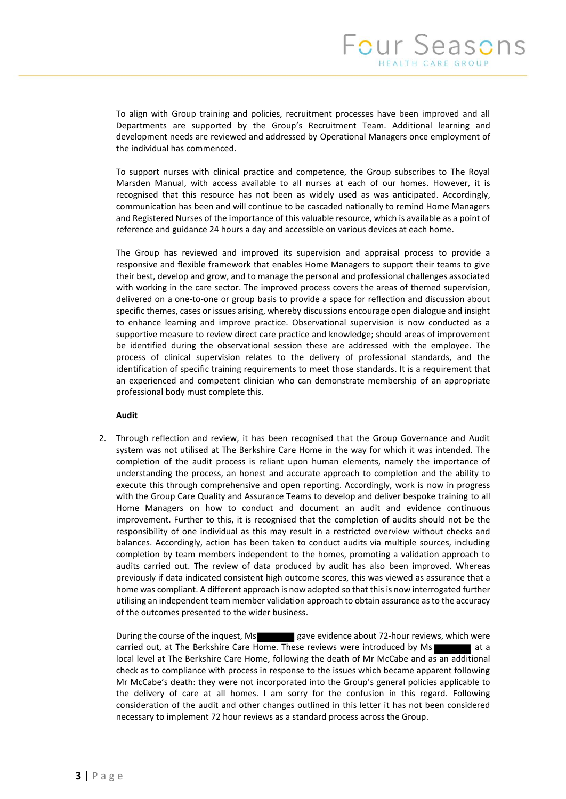To align with Group training and policies, recruitment processes have been improved and all Departments are supported by the Group's Recruitment Team. Additional learning and development needs are reviewed and addressed by Operational Managers once employment of the individual has commenced.

To support nurses with clinical practice and competence, the Group subscribes to The Royal Marsden Manual, with access available to all nurses at each of our homes. However, it is recognised that this resource has not been as widely used as was anticipated. Accordingly, communication has been and will continue to be cascaded nationally to remind Home Managers and Registered Nurses of the importance of this valuable resource, which is available as a point of reference and guidance 24 hours a day and accessible on various devices at each home.

The Group has reviewed and improved its supervision and appraisal process to provide a responsive and flexible framework that enables Home Managers to support their teams to give their best, develop and grow, and to manage the personal and professional challenges associated with working in the care sector. The improved process covers the areas of themed supervision, delivered on a one-to-one or group basis to provide a space for reflection and discussion about specific themes, cases or issues arising, whereby discussions encourage open dialogue and insight to enhance learning and improve practice. Observational supervision is now conducted as a supportive measure to review direct care practice and knowledge; should areas of improvement be identified during the observational session these are addressed with the employee. The process of clinical supervision relates to the delivery of professional standards, and the identification of specific training requirements to meet those standards. It is a requirement that an experienced and competent clinician who can demonstrate membership of an appropriate professional body must complete this.

## **Audit**

2. Through reflection and review, it has been recognised that the Group Governance and Audit system was not utilised at The Berkshire Care Home in the way for which it was intended. The completion of the audit process is reliant upon human elements, namely the importance of understanding the process, an honest and accurate approach to completion and the ability to execute this through comprehensive and open reporting. Accordingly, work is now in progress with the Group Care Quality and Assurance Teams to develop and deliver bespoke training to all Home Managers on how to conduct and document an audit and evidence continuous improvement. Further to this, it is recognised that the completion of audits should not be the responsibility of one individual as this may result in a restricted overview without checks and balances. Accordingly, action has been taken to conduct audits via multiple sources, including completion by team members independent to the homes, promoting a validation approach to audits carried out. The review of data produced by audit has also been improved. Whereas previously if data indicated consistent high outcome scores, this was viewed as assurance that a home was compliant. A different approach is now adopted so that this is now interrogated further utilising an independent team member validation approach to obtain assurance as to the accuracy of the outcomes presented to the wider business.

During the course of the inquest, Ms gave evidence about 72-hour reviews, which were carried out, at The Berkshire Care Home. These reviews were introduced by Ms local level at The Berkshire Care Home, following the death of Mr McCabe and as an additional check as to compliance with process in response to the issues which became apparent following Mr McCabe's death: they were not incorporated into the Group's general policies applicable to the delivery of care at all homes. I am sorry for the confusion in this regard. Following consideration of the audit and other changes outlined in this letter it has not been considered necessary to implement 72 hour reviews as a standard process across the Group.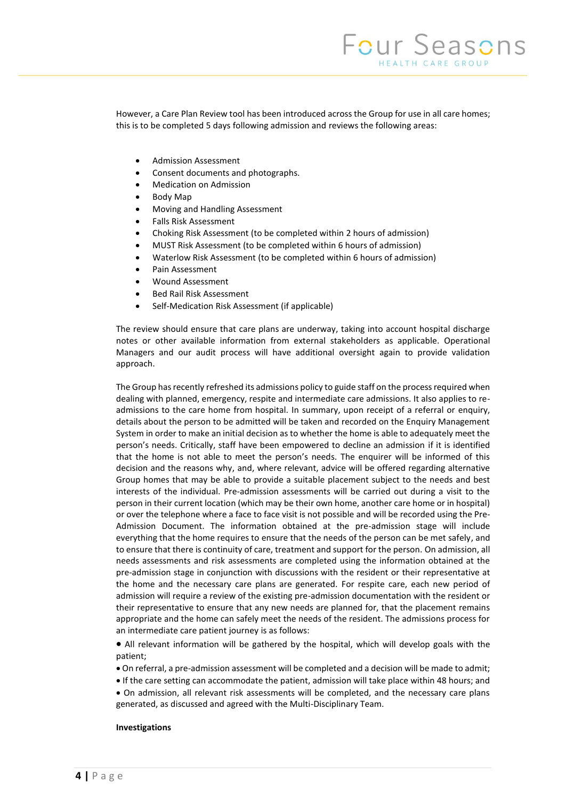However, a Care Plan Review tool has been introduced across the Group for use in all care homes; this is to be completed 5 days following admission and reviews the following areas:

- Admission Assessment
- Consent documents and photographs.
- Medication on Admission
- Body Map
- Moving and Handling Assessment
- Falls Risk Assessment
- Choking Risk Assessment (to be completed within 2 hours of admission)
- MUST Risk Assessment (to be completed within 6 hours of admission)
- Waterlow Risk Assessment (to be completed within 6 hours of admission)
- Pain Assessment
- Wound Assessment
- Bed Rail Risk Assessment
- Self-Medication Risk Assessment (if applicable)

The review should ensure that care plans are underway, taking into account hospital discharge notes or other available information from external stakeholders as applicable. Operational Managers and our audit process will have additional oversight again to provide validation approach.

The Group has recently refreshed its admissions policy to guide staff on the process required when dealing with planned, emergency, respite and intermediate care admissions. It also applies to readmissions to the care home from hospital. In summary, upon receipt of a referral or enquiry, details about the person to be admitted will be taken and recorded on the Enquiry Management System in order to make an initial decision as to whether the home is able to adequately meet the person's needs. Critically, staff have been empowered to decline an admission if it is identified that the home is not able to meet the person's needs. The enquirer will be informed of this decision and the reasons why, and, where relevant, advice will be offered regarding alternative Group homes that may be able to provide a suitable placement subject to the needs and best interests of the individual. Pre-admission assessments will be carried out during a visit to the person in their current location (which may be their own home, another care home or in hospital) or over the telephone where a face to face visit is not possible and will be recorded using the Pre-Admission Document. The information obtained at the pre-admission stage will include everything that the home requires to ensure that the needs of the person can be met safely, and to ensure that there is continuity of care, treatment and support for the person. On admission, all needs assessments and risk assessments are completed using the information obtained at the pre-admission stage in conjunction with discussions with the resident or their representative at the home and the necessary care plans are generated. For respite care, each new period of admission will require a review of the existing pre-admission documentation with the resident or their representative to ensure that any new needs are planned for, that the placement remains appropriate and the home can safely meet the needs of the resident. The admissions process for an intermediate care patient journey is as follows:

 All relevant information will be gathered by the hospital, which will develop goals with the patient;

On referral, a pre-admission assessment will be completed and a decision will be made to admit;

If the care setting can accommodate the patient, admission will take place within 48 hours; and

 On admission, all relevant risk assessments will be completed, and the necessary care plans generated, as discussed and agreed with the Multi-Disciplinary Team.

#### **Investigations**